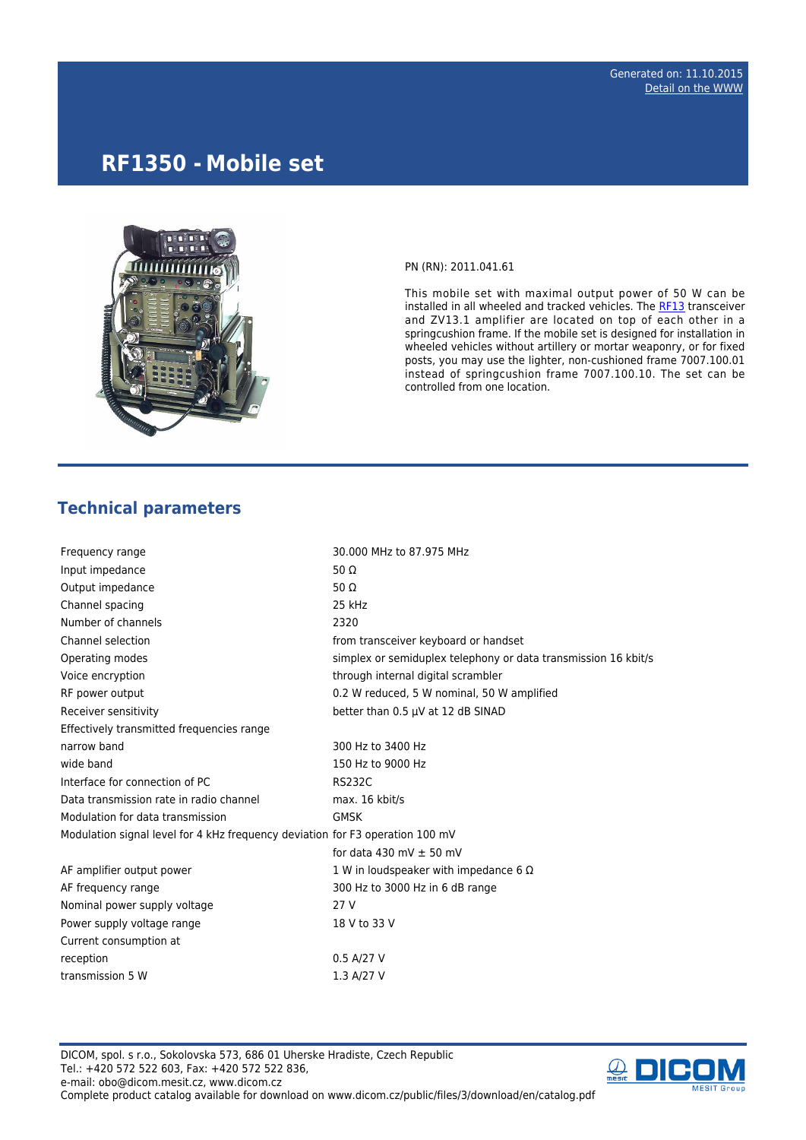# **RF1350 - Mobile set**



PN (RN): 2011.041.61

This mobile set with maximal output power of 50 W can be installed in all wheeled and tracked vehicles. The [RF13](http://www.dicom.cz/en/product/634-transciever) transceiver and ZV13.1 amplifier are located on top of each other in a springcushion frame. If the mobile set is designed for installation in wheeled vehicles without artillery or mortar weaponry, or for fixed posts, you may use the lighter, non-cushioned frame 7007.100.01 instead of springcushion frame 7007.100.10. The set can be controlled from one location.

## **Technical parameters**

| Frequency range                                                               | 30.000 MHz to 87.975 MHz                                       |  |
|-------------------------------------------------------------------------------|----------------------------------------------------------------|--|
| Input impedance                                                               | 50 $\Omega$                                                    |  |
| Output impedance                                                              | 50 $\Omega$                                                    |  |
| Channel spacing                                                               | 25 kHz                                                         |  |
| Number of channels                                                            | 2320                                                           |  |
| Channel selection                                                             | from transceiver keyboard or handset                           |  |
| Operating modes                                                               | simplex or semiduplex telephony or data transmission 16 kbit/s |  |
| Voice encryption                                                              | through internal digital scrambler                             |  |
| RF power output                                                               | 0.2 W reduced, 5 W nominal, 50 W amplified                     |  |
| Receiver sensitivity                                                          | better than 0.5 µV at 12 dB SINAD                              |  |
| Effectively transmitted frequencies range                                     |                                                                |  |
| narrow band                                                                   | 300 Hz to 3400 Hz                                              |  |
| wide band                                                                     | 150 Hz to 9000 Hz                                              |  |
| Interface for connection of PC                                                | <b>RS232C</b>                                                  |  |
| Data transmission rate in radio channel                                       | max. 16 kbit/s                                                 |  |
| Modulation for data transmission                                              | <b>GMSK</b>                                                    |  |
| Modulation signal level for 4 kHz frequency deviation for F3 operation 100 mV |                                                                |  |
|                                                                               | for data 430 mV $\pm$ 50 mV                                    |  |
| AF amplifier output power                                                     | 1 W in loudspeaker with impedance 6 $\Omega$                   |  |
| AF frequency range                                                            | 300 Hz to 3000 Hz in 6 dB range                                |  |
| Nominal power supply voltage                                                  | 27 V                                                           |  |
| Power supply voltage range                                                    | 18 V to 33 V                                                   |  |
| Current consumption at                                                        |                                                                |  |
| reception                                                                     | 0.5 A/27 V                                                     |  |
| transmission 5 W                                                              | 1.3 A/27 V                                                     |  |

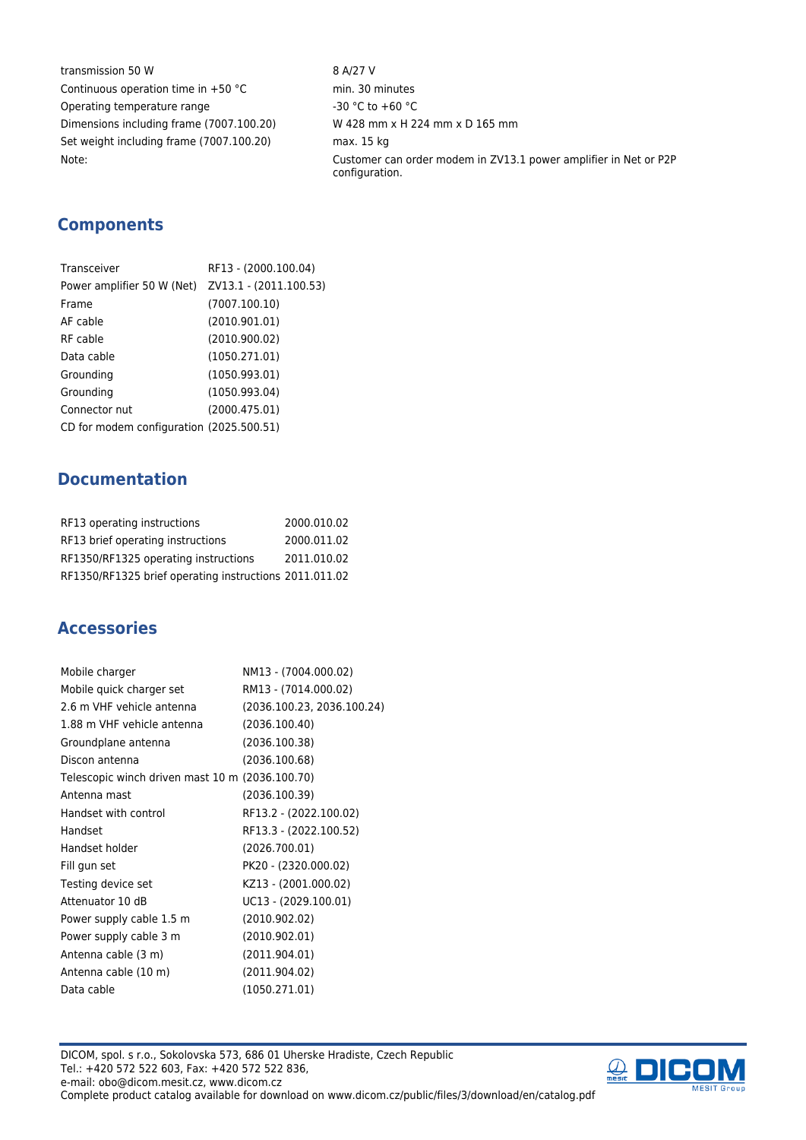transmission 50 W 8 A/27 V Continuous operation time in  $+50 °C$  min. 30 minutes Operating temperature range  $-30 °C$  to +60 °C Dimensions including frame (7007.100.20) W 428 mm x H 224 mm x D 165 mm Set weight including frame (7007.100.20) max. 15 kg

Note: Customer can order modem in ZV13.1 power amplifier in Net or P2P configuration.

## **Components**

| Transceiver                                       | RF13 - (2000.100.04) |
|---------------------------------------------------|----------------------|
| Power amplifier 50 W (Net) ZV13.1 - (2011.100.53) |                      |
| Frame                                             | (7007.100.10)        |
| AF cable                                          | (2010.901.01)        |
| RF cable                                          | (2010.900.02)        |
| Data cable                                        | (1050.271.01)        |
| Grounding                                         | (1050.993.01)        |
| Grounding                                         | (1050.993.04)        |
| Connector nut                                     | (2000.475.01)        |
| CD for modem configuration (2025.500.51)          |                      |

## **Documentation**

| RF13 operating instructions                            | 2000.010.02 |
|--------------------------------------------------------|-------------|
| RF13 brief operating instructions                      | 2000.011.02 |
| RF1350/RF1325 operating instructions                   | 2011.010.02 |
| RF1350/RF1325 brief operating instructions 2011.011.02 |             |

#### **Accessories**

| Mobile charger                                  | NM13 - (7004.000.02)       |
|-------------------------------------------------|----------------------------|
| Mobile quick charger set                        | RM13 - (7014.000.02)       |
| 2.6 m VHF vehicle antenna                       | (2036.100.23, 2036.100.24) |
| 1.88 m VHF vehicle antenna                      | (2036.100.40)              |
| Groundplane antenna                             | (2036.100.38)              |
| Discon antenna                                  | (2036.100.68)              |
| Telescopic winch driven mast 10 m (2036.100.70) |                            |
| Antenna mast                                    | (2036.100.39)              |
| Handset with control                            | RF13.2 - (2022.100.02)     |
| Handset                                         | RF13.3 - (2022.100.52)     |
| Handset holder                                  | (2026.700.01)              |
| Fill gun set                                    | PK20 - (2320.000.02)       |
| Testing device set                              | KZ13 - (2001.000.02)       |
| Attenuator 10 dB                                | UC13 - (2029.100.01)       |
| Power supply cable 1.5 m                        | (2010.902.02)              |
| Power supply cable 3 m                          | (2010.902.01)              |
| Antenna cable (3 m)                             | (2011.904.01)              |
| Antenna cable (10 m)                            | (2011.904.02)              |
| Data cable                                      | (1050.271.01)              |